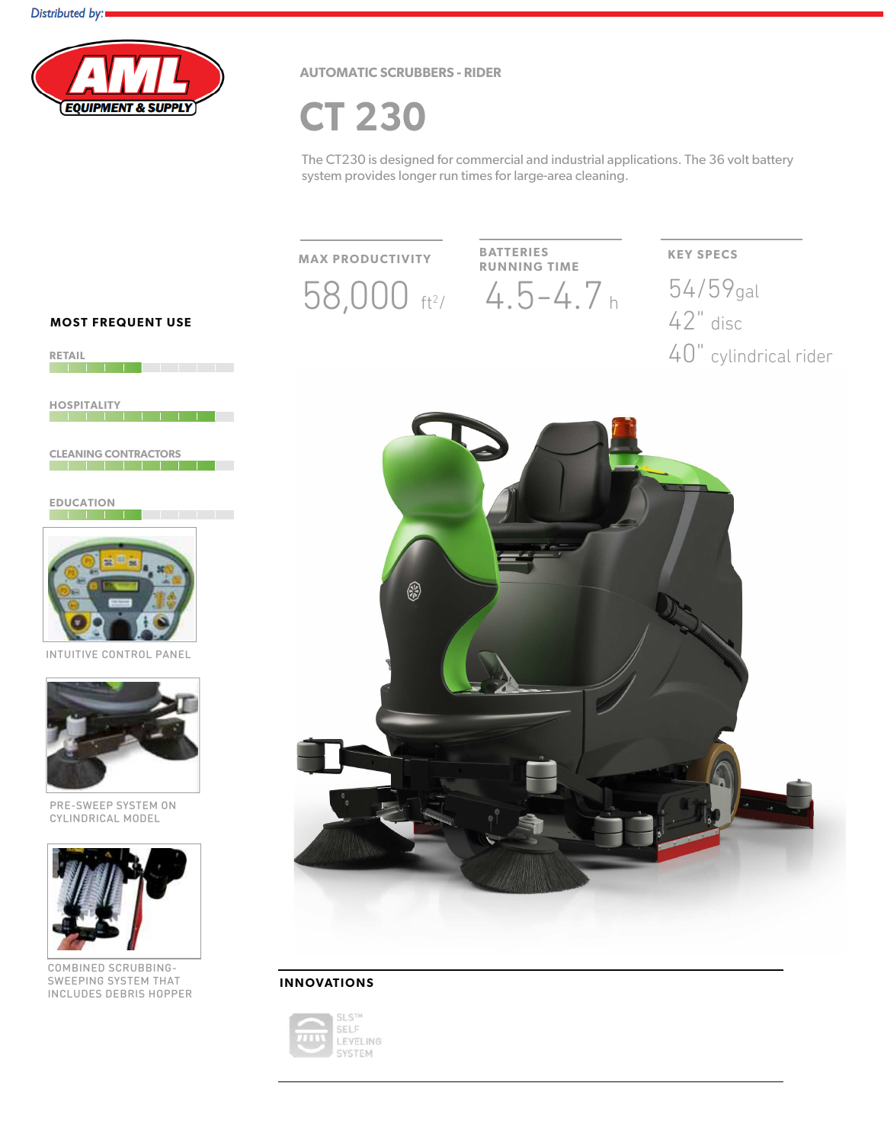

**AUTOMATIC SCRUBBERS - RIDER** 

**CT 230** 

The CT230 is designed for commercial and industrial applications. The 36 volt battery system provides longer run times for large-area cleaning.

**MAX PRODUCTIVITY** 

 $58,000$  ft<sup>2</sup>/ 4.5-4.7 h

**BATTERIES RUNNING TIME** 

**KEY SPECS** 54/59gal  $42°$  disc 40" cylindrical rider



#### **INNOVATIONS**



**MOST FREQUENT USE** 



**HOSPITALITY** <u>e de la componenta de la componenta de la componenta de la componenta de la componenta de la componenta de la </u>

**CLEANING CONTRACTORS** 

**EDUCATION** <u> 1951 - 1951 - 1951 - 1951 - 1951 - 1951 - 1951 - 1951 - 1951 - 1951 - 1951 - 1951 - 1951 - 1951 - 1951 - 195</u>



**VE CONTROL PANEL** 



PRE-SWEEP SYSTEM ON CYLINDRICAL MODEL



COMBINED SCRUBBING-SWEEPING SYSTEM THAT **INCLUDES DEBRIS HOPPER**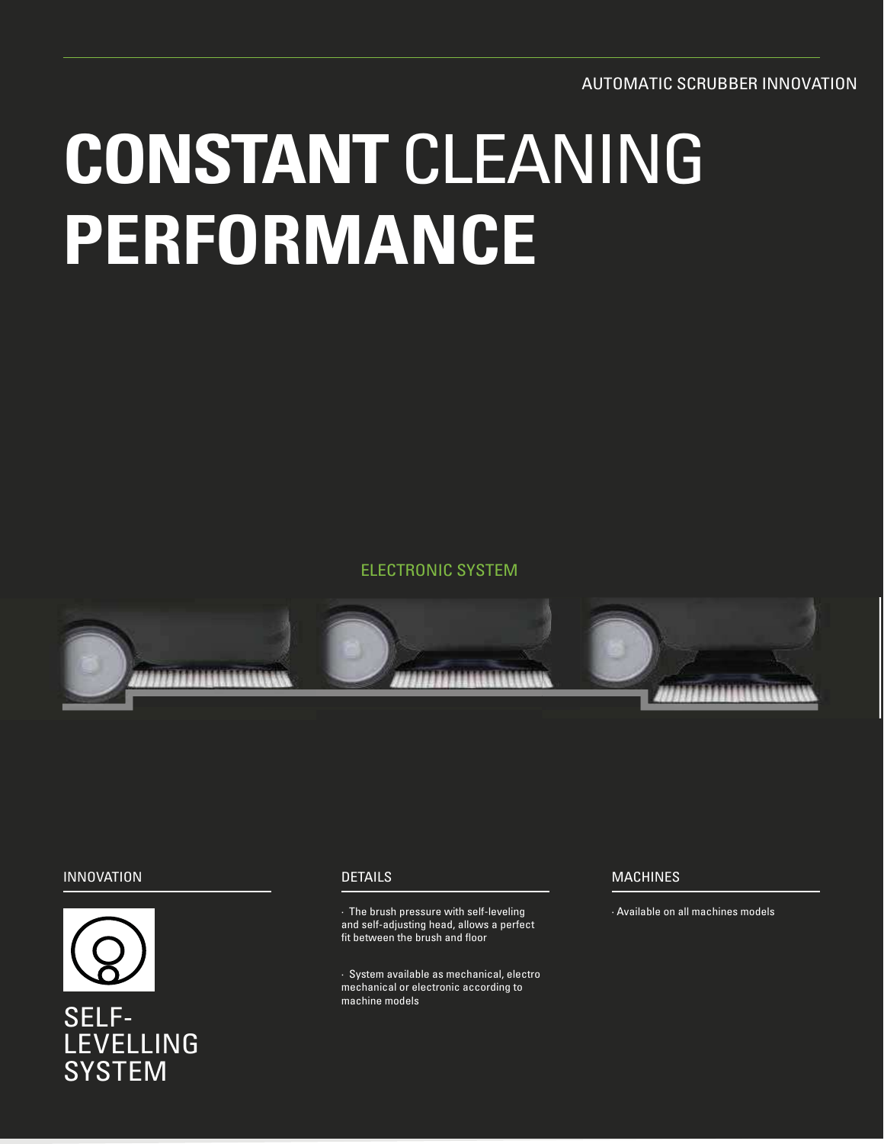**AUTOMATIC SCRUBBER INNOVATION** 

# **CONSTANT CLEANING** PERFORMANCE

**ELECTRONIC SYSTEM** 



#### **INNOVATION**



# SELF-**LEVELLING SYSTEM**

#### **DETAILS**

· The brush pressure with self-leveling and self-adjusting head, allows a perfect fit between the brush and floor

· System available as mechanical, electro mechanical or electronic according to machine models

#### **MACHINES**

· Available on all machines models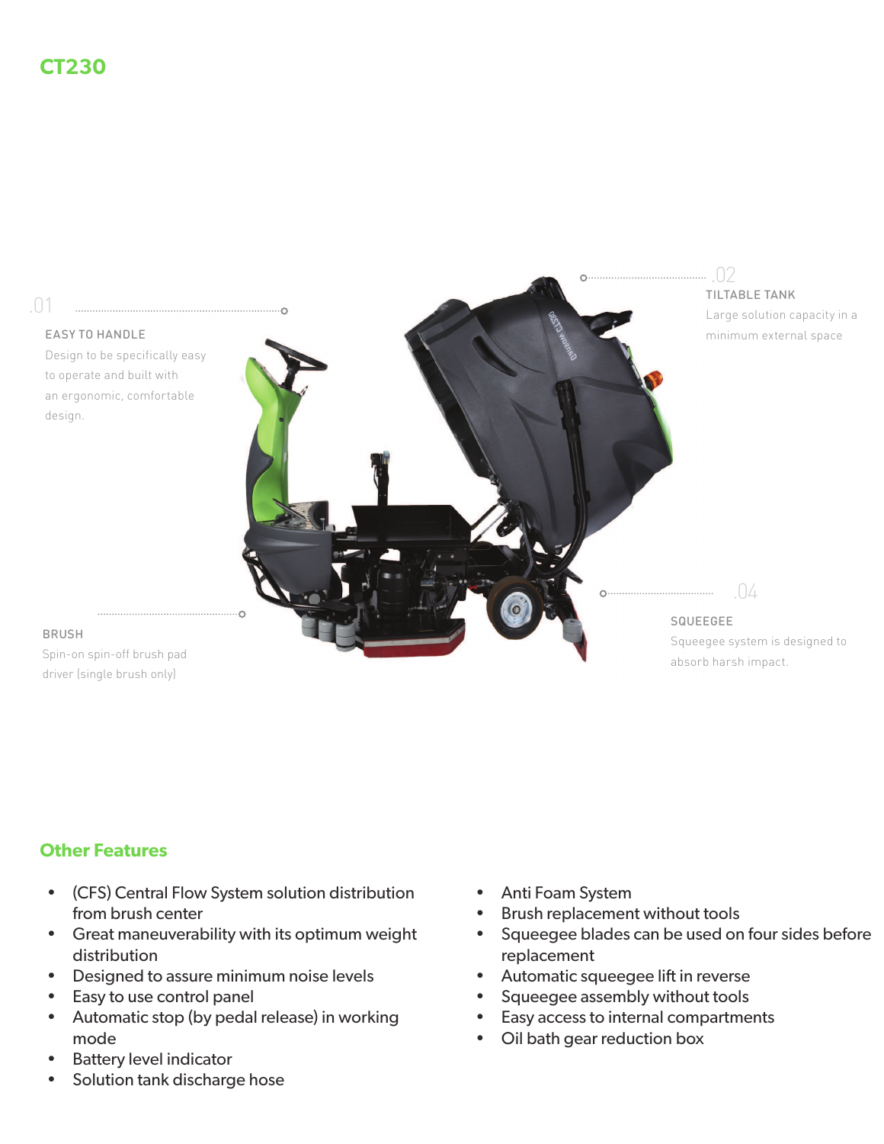

### **Other Features**

- (CFS) Central Flow System solution distribution from brush center
- Great maneuverability with its optimum weight distribution
- Designed to assure minimum noise levels
- Easy to use control panel
- Automatic stop (by pedal release) in working mode
- **Battery level indicator**
- Solution tank discharge hose
- Anti Foam System
- Brush replacement without tools
- Squeegee blades can be used on four sides before  $\bullet$ replacement
- Automatic squeegee lift in reverse
- Squeegee assembly without tools
- Easy access to internal compartments
- Oil bath gear reduction box